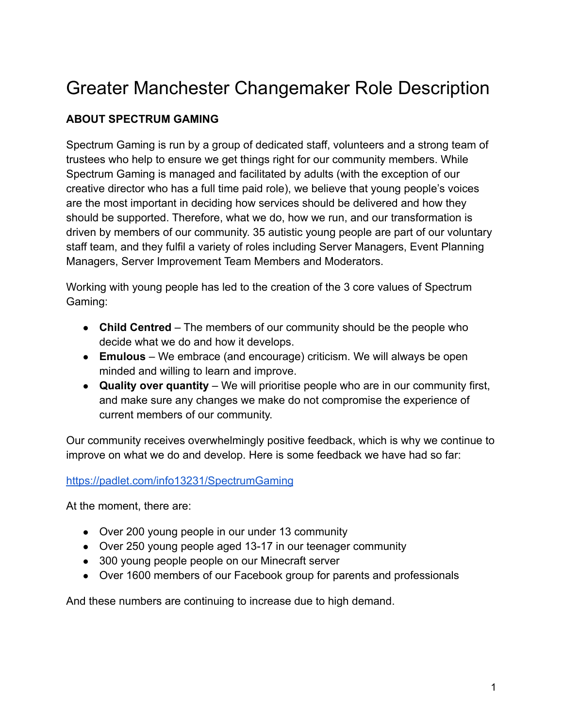# Greater Manchester Changemaker Role Description

# **ABOUT SPECTRUM GAMING**

Spectrum Gaming is run by a group of dedicated staff, volunteers and a strong team of trustees who help to ensure we get things right for our community members. While Spectrum Gaming is managed and facilitated by adults (with the exception of our creative director who has a full time paid role), we believe that young people's voices are the most important in deciding how services should be delivered and how they should be supported. Therefore, what we do, how we run, and our transformation is driven by members of our community. 35 autistic young people are part of our voluntary staff team, and they fulfil a variety of roles including Server Managers, Event Planning Managers, Server Improvement Team Members and Moderators.

Working with young people has led to the creation of the 3 core values of Spectrum Gaming:

- **Child Centred** The members of our community should be the people who decide what we do and how it develops.
- **Emulous** We embrace (and encourage) criticism. We will always be open minded and willing to learn and improve.
- **Quality over quantity** We will prioritise people who are in our community first, and make sure any changes we make do not compromise the experience of current members of our community.

Our community receives overwhelmingly positive feedback, which is why we continue to improve on what we do and develop. Here is some feedback we have had so far:

### <https://padlet.com/info13231/SpectrumGaming>

At the moment, there are:

- Over 200 young people in our under 13 community
- Over 250 young people aged 13-17 in our teenager community
- 300 young people people on our Minecraft server
- Over 1600 members of our Facebook group for parents and professionals

And these numbers are continuing to increase due to high demand.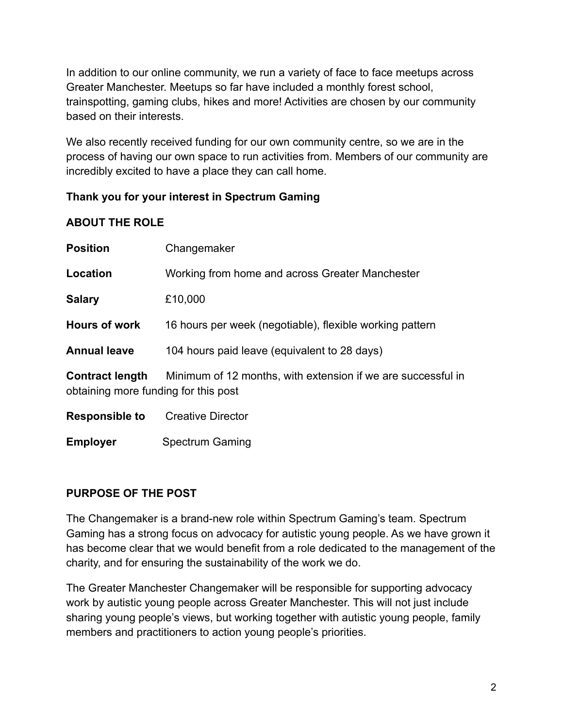In addition to our online community, we run a variety of face to face meetups across Greater Manchester. Meetups so far have included a monthly forest school, trainspotting, gaming clubs, hikes and more! Activities are chosen by our community based on their interests.

We also recently received funding for our own community centre, so we are in the process of having our own space to run activities from. Members of our community are incredibly excited to have a place they can call home.

## **Thank you for your interest in Spectrum Gaming**

## **ABOUT THE ROLE**

| <b>Position</b>                                                | Changemaker                                                  |
|----------------------------------------------------------------|--------------------------------------------------------------|
| Location                                                       | Working from home and across Greater Manchester              |
| <b>Salary</b>                                                  | £10,000                                                      |
| <b>Hours of work</b>                                           | 16 hours per week (negotiable), flexible working pattern     |
| <b>Annual leave</b>                                            | 104 hours paid leave (equivalent to 28 days)                 |
| <b>Contract length</b><br>obtaining more funding for this post | Minimum of 12 months, with extension if we are successful in |
| <b>Responsible to</b>                                          | Creative Director                                            |

**Employer** Spectrum Gaming

# **PURPOSE OF THE POST**

The Changemaker is a brand-new role within Spectrum Gaming's team. Spectrum Gaming has a strong focus on advocacy for autistic young people. As we have grown it has become clear that we would benefit from a role dedicated to the management of the charity, and for ensuring the sustainability of the work we do.

The Greater Manchester Changemaker will be responsible for supporting advocacy work by autistic young people across Greater Manchester. This will not just include sharing young people's views, but working together with autistic young people, family members and practitioners to action young people's priorities.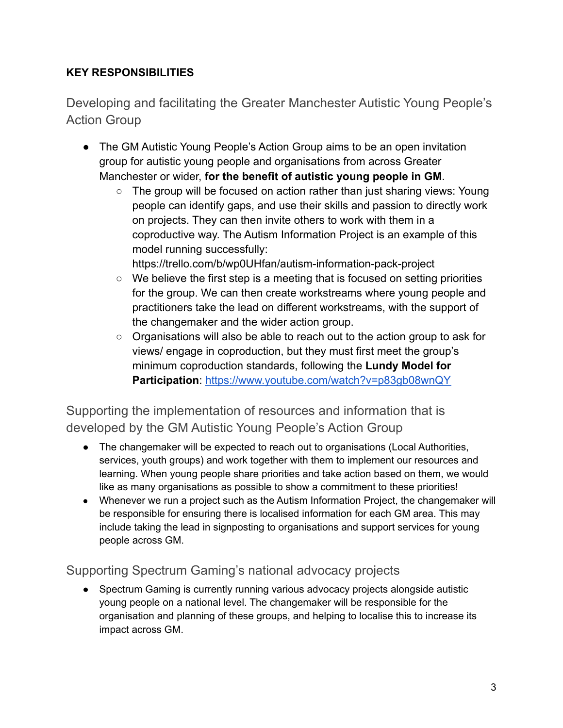# **KEY RESPONSIBILITIES**

Developing and facilitating the Greater Manchester Autistic Young People's Action Group

- The GM Autistic Young People's Action Group aims to be an open invitation group for autistic young people and organisations from across Greater Manchester or wider, **for the benefit of autistic young people in GM**.
	- The group will be focused on action rather than just sharing views: Young people can identify gaps, and use their skills and passion to directly work on projects. They can then invite others to work with them in a coproductive way. The Autism Information Project is an example of this model running successfully:

https://trello.com/b/wp0UHfan/autism-information-pack-project

- We believe the first step is a meeting that is focused on setting priorities for the group. We can then create workstreams where young people and practitioners take the lead on different workstreams, with the support of the changemaker and the wider action group.
- Organisations will also be able to reach out to the action group to ask for views/ engage in coproduction, but they must first meet the group's minimum coproduction standards, following the **Lundy Model for Participation**: <https://www.youtube.com/watch?v=p83gb08wnQY>

Supporting the implementation of resources and information that is developed by the GM Autistic Young People's Action Group

- The changemaker will be expected to reach out to organisations (Local Authorities, services, youth groups) and work together with them to implement our resources and learning. When young people share priorities and take action based on them, we would like as many organisations as possible to show a commitment to these priorities!
- Whenever we run a project such as the Autism Information Project, the changemaker will be responsible for ensuring there is localised information for each GM area. This may include taking the lead in signposting to organisations and support services for young people across GM.

# Supporting Spectrum Gaming's national advocacy projects

● Spectrum Gaming is currently running various advocacy projects alongside autistic young people on a national level. The changemaker will be responsible for the organisation and planning of these groups, and helping to localise this to increase its impact across GM.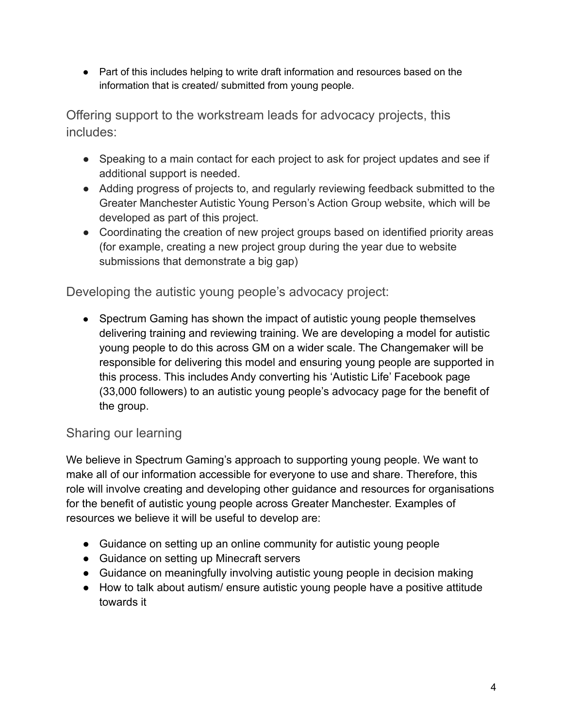● Part of this includes helping to write draft information and resources based on the information that is created/ submitted from young people.

Offering support to the workstream leads for advocacy projects, this includes:

- Speaking to a main contact for each project to ask for project updates and see if additional support is needed.
- Adding progress of projects to, and regularly reviewing feedback submitted to the Greater Manchester Autistic Young Person's Action Group website, which will be developed as part of this project.
- Coordinating the creation of new project groups based on identified priority areas (for example, creating a new project group during the year due to website submissions that demonstrate a big gap)

Developing the autistic young people's advocacy project:

• Spectrum Gaming has shown the impact of autistic young people themselves delivering training and reviewing training. We are developing a model for autistic young people to do this across GM on a wider scale. The Changemaker will be responsible for delivering this model and ensuring young people are supported in this process. This includes Andy converting his 'Autistic Life' Facebook page (33,000 followers) to an autistic young people's advocacy page for the benefit of the group.

# Sharing our learning

We believe in Spectrum Gaming's approach to supporting young people. We want to make all of our information accessible for everyone to use and share. Therefore, this role will involve creating and developing other guidance and resources for organisations for the benefit of autistic young people across Greater Manchester. Examples of resources we believe it will be useful to develop are:

- Guidance on setting up an online community for autistic young people
- Guidance on setting up Minecraft servers
- Guidance on meaningfully involving autistic young people in decision making
- How to talk about autism/ ensure autistic young people have a positive attitude towards it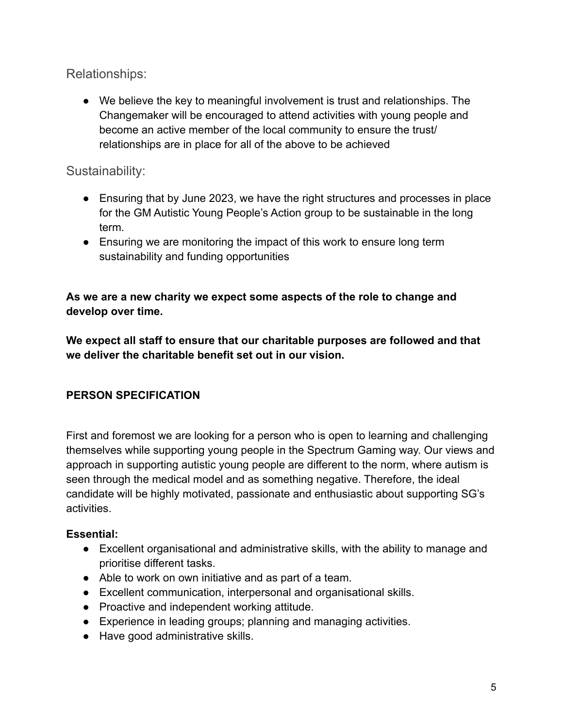Relationships:

● We believe the key to meaningful involvement is trust and relationships. The Changemaker will be encouraged to attend activities with young people and become an active member of the local community to ensure the trust/ relationships are in place for all of the above to be achieved

# Sustainability:

- Ensuring that by June 2023, we have the right structures and processes in place for the GM Autistic Young People's Action group to be sustainable in the long term.
- Ensuring we are monitoring the impact of this work to ensure long term sustainability and funding opportunities

## **As we are a new charity we expect some aspects of the role to change and develop over time.**

**We expect all staff to ensure that our charitable purposes are followed and that we deliver the charitable benefit set out in our vision.**

# **PERSON SPECIFICATION**

First and foremost we are looking for a person who is open to learning and challenging themselves while supporting young people in the Spectrum Gaming way. Our views and approach in supporting autistic young people are different to the norm, where autism is seen through the medical model and as something negative. Therefore, the ideal candidate will be highly motivated, passionate and enthusiastic about supporting SG's activities.

## **Essential:**

- Excellent organisational and administrative skills, with the ability to manage and prioritise different tasks.
- Able to work on own initiative and as part of a team.
- Excellent communication, interpersonal and organisational skills.
- Proactive and independent working attitude.
- Experience in leading groups; planning and managing activities.
- Have good administrative skills.